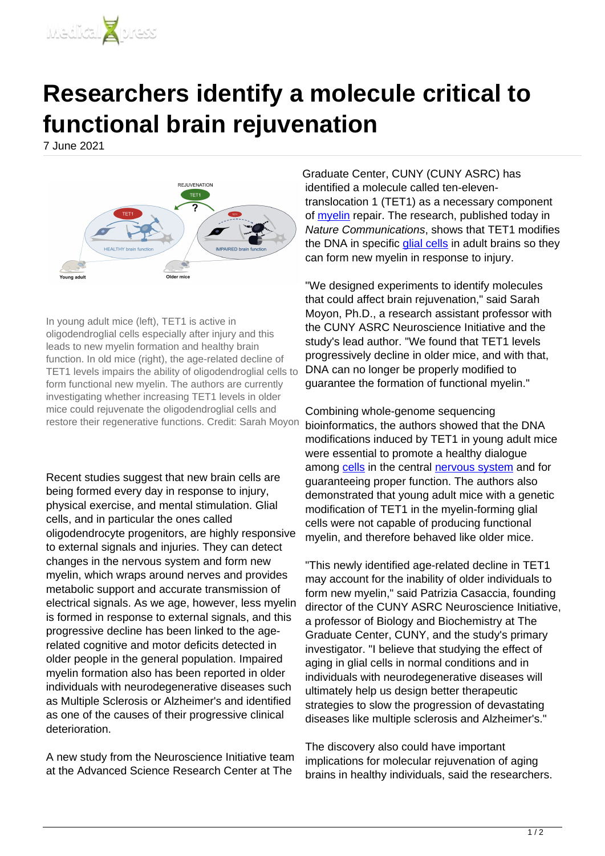

## **Researchers identify a molecule critical to functional brain rejuvenation**

7 June 2021



In young adult mice (left), TET1 is active in oligodendroglial cells especially after injury and this leads to new myelin formation and healthy brain function. In old mice (right), the age-related decline of TET1 levels impairs the ability of oligodendroglial cells to form functional new myelin. The authors are currently investigating whether increasing TET1 levels in older mice could rejuvenate the oligodendroglial cells and restore their regenerative functions. Credit: Sarah Moyon

Recent studies suggest that new brain cells are being formed every day in response to injury, physical exercise, and mental stimulation. Glial cells, and in particular the ones called oligodendrocyte progenitors, are highly responsive to external signals and injuries. They can detect changes in the nervous system and form new myelin, which wraps around nerves and provides metabolic support and accurate transmission of electrical signals. As we age, however, less myelin is formed in response to external signals, and this progressive decline has been linked to the agerelated cognitive and motor deficits detected in older people in the general population. Impaired myelin formation also has been reported in older individuals with neurodegenerative diseases such as Multiple Sclerosis or Alzheimer's and identified as one of the causes of their progressive clinical deterioration.

A new study from the Neuroscience Initiative team at the Advanced Science Research Center at The

Graduate Center, CUNY (CUNY ASRC) has identified a molecule called ten-eleventranslocation 1 (TET1) as a necessary component of **[myelin](https://medicalxpress.com/tags/myelin/)** repair. The research, published today in Nature Communications, shows that TET1 modifies the DNA in specific [glial cells](https://medicalxpress.com/tags/glial+cells/) in adult brains so they can form new myelin in response to injury.

"We designed experiments to identify molecules that could affect brain rejuvenation," said Sarah Moyon, Ph.D., a research assistant professor with the CUNY ASRC Neuroscience Initiative and the study's lead author. "We found that TET1 levels progressively decline in older mice, and with that, DNA can no longer be properly modified to guarantee the formation of functional myelin."

Combining whole-genome sequencing bioinformatics, the authors showed that the DNA modifications induced by TET1 in young adult mice were essential to promote a healthy dialogue among [cells](https://medicalxpress.com/tags/cells/) in the central [nervous system](https://medicalxpress.com/tags/nervous+system/) and for guaranteeing proper function. The authors also demonstrated that young adult mice with a genetic modification of TET1 in the myelin-forming glial cells were not capable of producing functional myelin, and therefore behaved like older mice.

"This newly identified age-related decline in TET1 may account for the inability of older individuals to form new myelin," said Patrizia Casaccia, founding director of the CUNY ASRC Neuroscience Initiative, a professor of Biology and Biochemistry at The Graduate Center, CUNY, and the study's primary investigator. "I believe that studying the effect of aging in glial cells in normal conditions and in individuals with neurodegenerative diseases will ultimately help us design better therapeutic strategies to slow the progression of devastating diseases like multiple sclerosis and Alzheimer's."

The discovery also could have important implications for molecular rejuvenation of aging brains in healthy individuals, said the researchers.